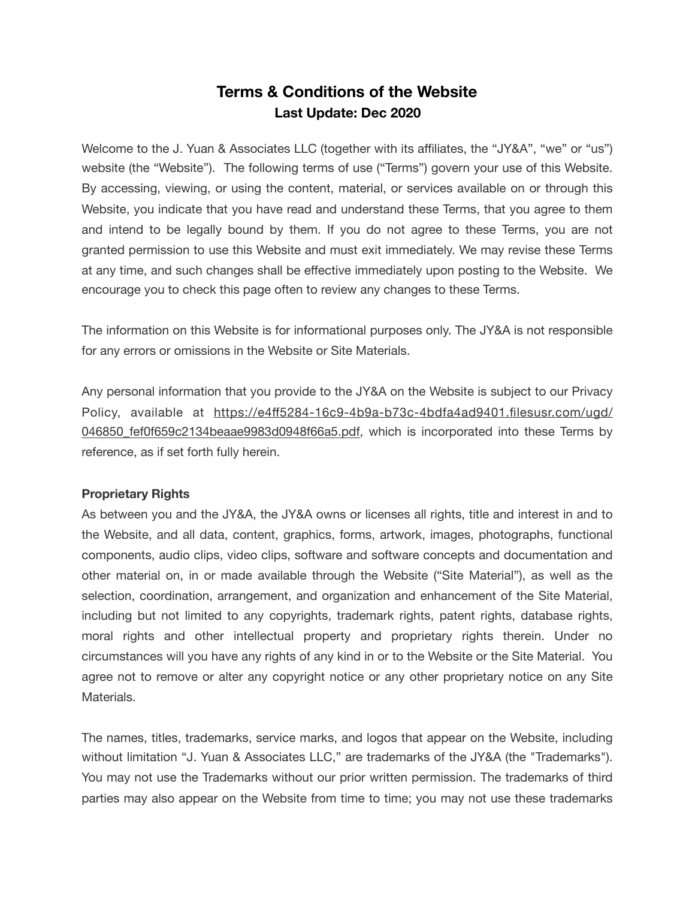# **Terms & Conditions of the Website Last Update: Dec 2020**

Welcome to the J. Yuan & Associates LLC (together with its affiliates, the "JY&A", "we" or "us") website (the "Website"). The following terms of use ("Terms") govern your use of this Website. By accessing, viewing, or using the content, material, or services available on or through this Website, you indicate that you have read and understand these Terms, that you agree to them and intend to be legally bound by them. If you do not agree to these Terms, you are not granted permission to use this Website and must exit immediately. We may revise these Terms at any time, and such changes shall be effective immediately upon posting to the Website. We encourage you to check this page often to review any changes to these Terms.

The information on this Website is for informational purposes only. The JY&A is not responsible for any errors or omissions in the Website or Site Materials.

Any personal information that you provide to the JY&A on the Website is subject to our Privacy Policy, available at https://e4ff[5284-16c9-4b9a-b73c-4bdfa4ad9401.filesusr.com/ugd/](https://e4ff5284-16c9-4b9a-b73c-4bdfa4ad9401.filesusr.com/ugd/046850_fef0f659c2134beaae9983d0948f66a5.pdf) 046850 fef0f659c2134beaae9983d0948f66a5.pdf, which is incorporated into these Terms by reference, as if set forth fully herein.

## **Proprietary Rights**

As between you and the JY&A, the JY&A owns or licenses all rights, title and interest in and to the Website, and all data, content, graphics, forms, artwork, images, photographs, functional components, audio clips, video clips, software and software concepts and documentation and other material on, in or made available through the Website ("Site Material"), as well as the selection, coordination, arrangement, and organization and enhancement of the Site Material, including but not limited to any copyrights, trademark rights, patent rights, database rights, moral rights and other intellectual property and proprietary rights therein. Under no circumstances will you have any rights of any kind in or to the Website or the Site Material. You agree not to remove or alter any copyright notice or any other proprietary notice on any Site Materials.

The names, titles, trademarks, service marks, and logos that appear on the Website, including without limitation "J. Yuan & Associates LLC," are trademarks of the JY&A (the "Trademarks"). You may not use the Trademarks without our prior written permission. The trademarks of third parties may also appear on the Website from time to time; you may not use these trademarks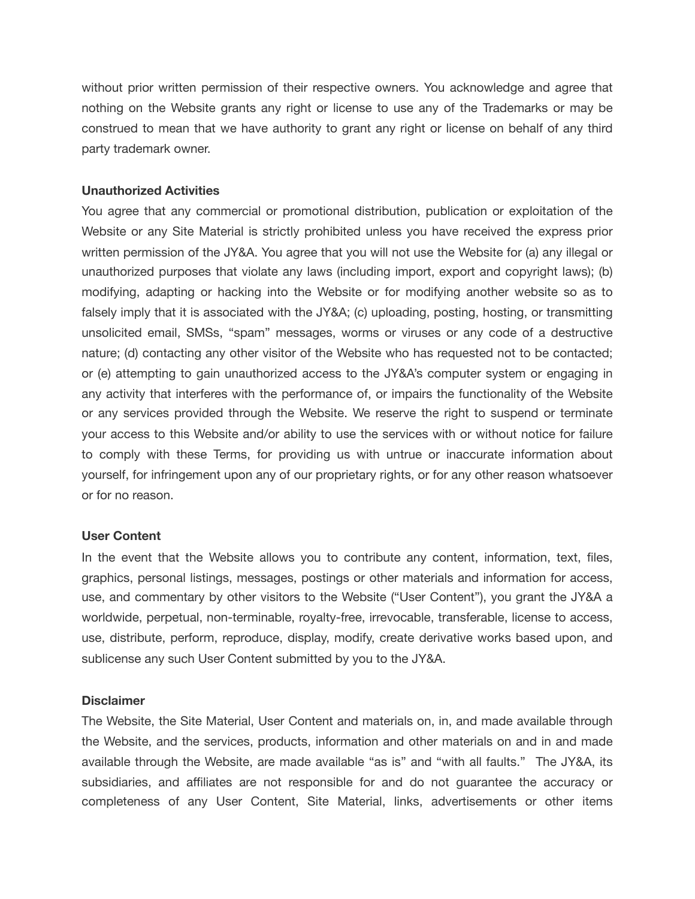without prior written permission of their respective owners. You acknowledge and agree that nothing on the Website grants any right or license to use any of the Trademarks or may be construed to mean that we have authority to grant any right or license on behalf of any third party trademark owner.

## **Unauthorized Activities**

You agree that any commercial or promotional distribution, publication or exploitation of the Website or any Site Material is strictly prohibited unless you have received the express prior written permission of the JY&A. You agree that you will not use the Website for (a) any illegal or unauthorized purposes that violate any laws (including import, export and copyright laws); (b) modifying, adapting or hacking into the Website or for modifying another website so as to falsely imply that it is associated with the JY&A; (c) uploading, posting, hosting, or transmitting unsolicited email, SMSs, "spam" messages, worms or viruses or any code of a destructive nature; (d) contacting any other visitor of the Website who has requested not to be contacted; or (e) attempting to gain unauthorized access to the JY&A's computer system or engaging in any activity that interferes with the performance of, or impairs the functionality of the Website or any services provided through the Website. We reserve the right to suspend or terminate your access to this Website and/or ability to use the services with or without notice for failure to comply with these Terms, for providing us with untrue or inaccurate information about yourself, for infringement upon any of our proprietary rights, or for any other reason whatsoever or for no reason.

### **User Content**

In the event that the Website allows you to contribute any content, information, text, files, graphics, personal listings, messages, postings or other materials and information for access, use, and commentary by other visitors to the Website ("User Content"), you grant the JY&A a worldwide, perpetual, non-terminable, royalty-free, irrevocable, transferable, license to access, use, distribute, perform, reproduce, display, modify, create derivative works based upon, and sublicense any such User Content submitted by you to the JY&A.

### **Disclaimer**

The Website, the Site Material, User Content and materials on, in, and made available through the Website, and the services, products, information and other materials on and in and made available through the Website, are made available "as is" and "with all faults." The JY&A, its subsidiaries, and affiliates are not responsible for and do not guarantee the accuracy or completeness of any User Content, Site Material, links, advertisements or other items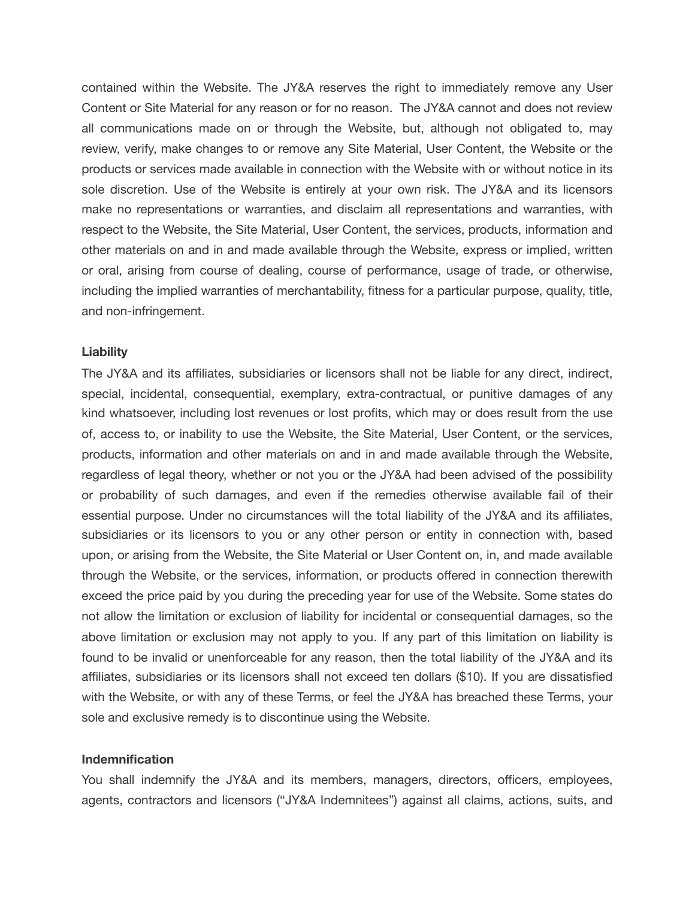contained within the Website. The JY&A reserves the right to immediately remove any User Content or Site Material for any reason or for no reason. The JY&A cannot and does not review all communications made on or through the Website, but, although not obligated to, may review, verify, make changes to or remove any Site Material, User Content, the Website or the products or services made available in connection with the Website with or without notice in its sole discretion. Use of the Website is entirely at your own risk. The JY&A and its licensors make no representations or warranties, and disclaim all representations and warranties, with respect to the Website, the Site Material, User Content, the services, products, information and other materials on and in and made available through the Website, express or implied, written or oral, arising from course of dealing, course of performance, usage of trade, or otherwise, including the implied warranties of merchantability, fitness for a particular purpose, quality, title, and non-infringement.

### **Liability**

The JY&A and its affiliates, subsidiaries or licensors shall not be liable for any direct, indirect, special, incidental, consequential, exemplary, extra-contractual, or punitive damages of any kind whatsoever, including lost revenues or lost profits, which may or does result from the use of, access to, or inability to use the Website, the Site Material, User Content, or the services, products, information and other materials on and in and made available through the Website, regardless of legal theory, whether or not you or the JY&A had been advised of the possibility or probability of such damages, and even if the remedies otherwise available fail of their essential purpose. Under no circumstances will the total liability of the JY&A and its affiliates, subsidiaries or its licensors to you or any other person or entity in connection with, based upon, or arising from the Website, the Site Material or User Content on, in, and made available through the Website, or the services, information, or products offered in connection therewith exceed the price paid by you during the preceding year for use of the Website. Some states do not allow the limitation or exclusion of liability for incidental or consequential damages, so the above limitation or exclusion may not apply to you. If any part of this limitation on liability is found to be invalid or unenforceable for any reason, then the total liability of the JY&A and its affiliates, subsidiaries or its licensors shall not exceed ten dollars (\$10). If you are dissatisfied with the Website, or with any of these Terms, or feel the JY&A has breached these Terms, your sole and exclusive remedy is to discontinue using the Website.

#### **Indemnification**

You shall indemnify the JY&A and its members, managers, directors, officers, employees, agents, contractors and licensors ("JY&A Indemnitees") against all claims, actions, suits, and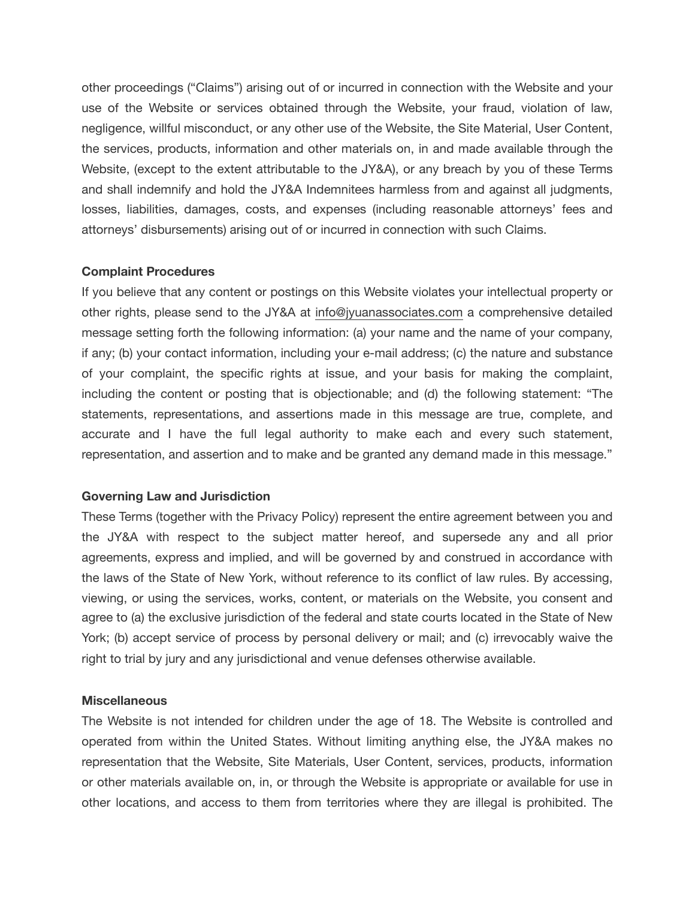other proceedings ("Claims") arising out of or incurred in connection with the Website and your use of the Website or services obtained through the Website, your fraud, violation of law, negligence, willful misconduct, or any other use of the Website, the Site Material, User Content, the services, products, information and other materials on, in and made available through the Website, (except to the extent attributable to the JY&A), or any breach by you of these Terms and shall indemnify and hold the JY&A Indemnitees harmless from and against all judgments, losses, liabilities, damages, costs, and expenses (including reasonable attorneys' fees and attorneys' disbursements) arising out of or incurred in connection with such Claims.

## **Complaint Procedures**

If you believe that any content or postings on this Website violates your intellectual property or other rights, please send to the JY&A at [info@jyuanassociates.com](mailto:info@jyuanassociates.com?subject=Complaint%20-%20Terms%20%26%20Conditions) a comprehensive detailed message setting forth the following information: (a) your name and the name of your company, if any; (b) your contact information, including your e-mail address; (c) the nature and substance of your complaint, the specific rights at issue, and your basis for making the complaint, including the content or posting that is objectionable; and (d) the following statement: "The statements, representations, and assertions made in this message are true, complete, and accurate and I have the full legal authority to make each and every such statement, representation, and assertion and to make and be granted any demand made in this message."

## **Governing Law and Jurisdiction**

These Terms (together with the Privacy Policy) represent the entire agreement between you and the JY&A with respect to the subject matter hereof, and supersede any and all prior agreements, express and implied, and will be governed by and construed in accordance with the laws of the State of New York, without reference to its conflict of law rules. By accessing, viewing, or using the services, works, content, or materials on the Website, you consent and agree to (a) the exclusive jurisdiction of the federal and state courts located in the State of New York; (b) accept service of process by personal delivery or mail; and (c) irrevocably waive the right to trial by jury and any jurisdictional and venue defenses otherwise available.

## **Miscellaneous**

The Website is not intended for children under the age of 18. The Website is controlled and operated from within the United States. Without limiting anything else, the JY&A makes no representation that the Website, Site Materials, User Content, services, products, information or other materials available on, in, or through the Website is appropriate or available for use in other locations, and access to them from territories where they are illegal is prohibited. The